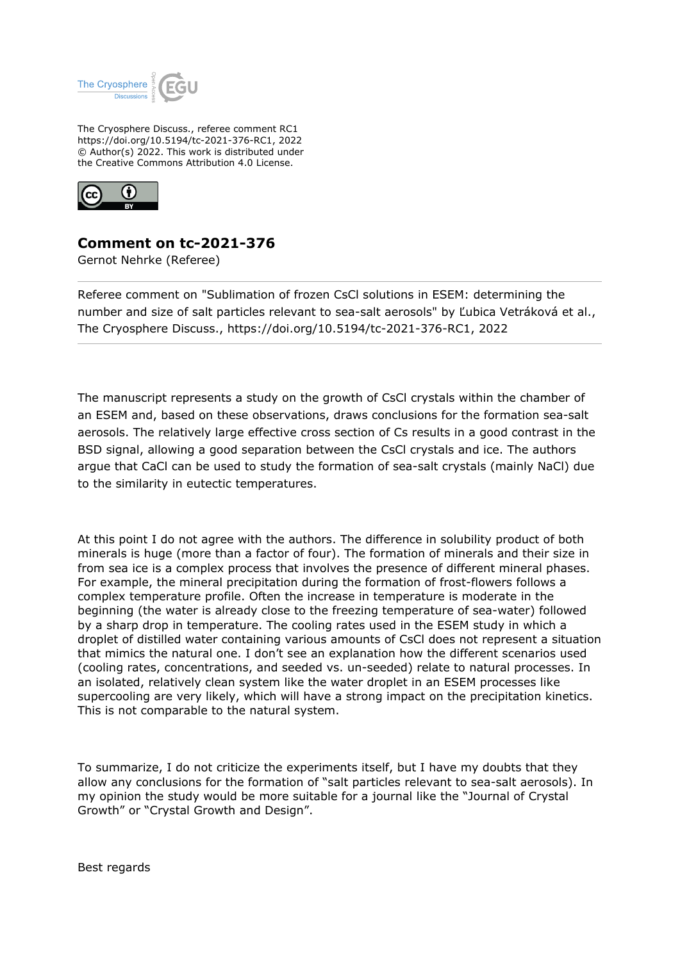

The Cryosphere Discuss., referee comment RC1 https://doi.org/10.5194/tc-2021-376-RC1, 2022 © Author(s) 2022. This work is distributed under the Creative Commons Attribution 4.0 License.



## **Comment on tc-2021-376**

Gernot Nehrke (Referee)

Referee comment on "Sublimation of frozen CsCl solutions in ESEM: determining the number and size of salt particles relevant to sea-salt aerosols" by Ľubica Vetráková et al., The Cryosphere Discuss., https://doi.org/10.5194/tc-2021-376-RC1, 2022

The manuscript represents a study on the growth of CsCl crystals within the chamber of an ESEM and, based on these observations, draws conclusions for the formation sea-salt aerosols. The relatively large effective cross section of Cs results in a good contrast in the BSD signal, allowing a good separation between the CsCl crystals and ice. The authors argue that CaCl can be used to study the formation of sea-salt crystals (mainly NaCl) due to the similarity in eutectic temperatures.

At this point I do not agree with the authors. The difference in solubility product of both minerals is huge (more than a factor of four). The formation of minerals and their size in from sea ice is a complex process that involves the presence of different mineral phases. For example, the mineral precipitation during the formation of frost-flowers follows a complex temperature profile. Often the increase in temperature is moderate in the beginning (the water is already close to the freezing temperature of sea-water) followed by a sharp drop in temperature. The cooling rates used in the ESEM study in which a droplet of distilled water containing various amounts of CsCl does not represent a situation that mimics the natural one. I don't see an explanation how the different scenarios used (cooling rates, concentrations, and seeded vs. un-seeded) relate to natural processes. In an isolated, relatively clean system like the water droplet in an ESEM processes like supercooling are very likely, which will have a strong impact on the precipitation kinetics. This is not comparable to the natural system.

To summarize, I do not criticize the experiments itself, but I have my doubts that they allow any conclusions for the formation of "salt particles relevant to sea-salt aerosols). In my opinion the study would be more suitable for a journal like the "Journal of Crystal Growth" or "Crystal Growth and Design".